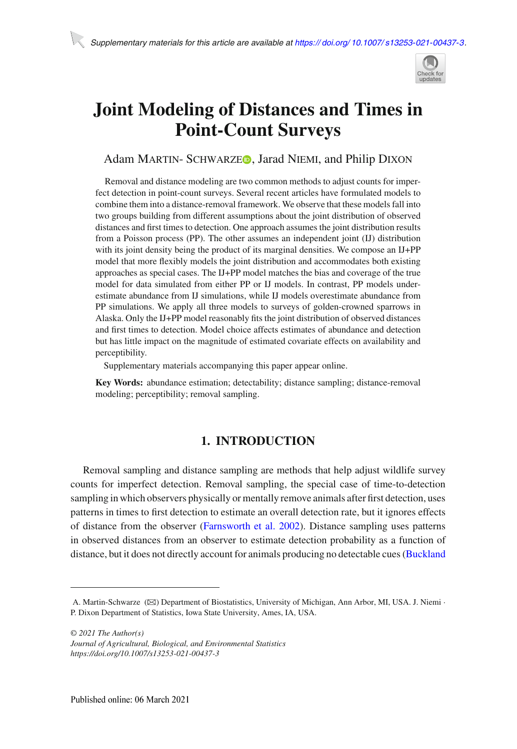

# **Joint Modeling of Distances and Times in Point-Count Surveys**

## Adam MARTIN- SCHWARZE<sup>O</sup>[,](http://orcid.org/0000-0002-7437-940X) Jarad NIEMI, and Philip DIXON

Removal and distance modeling are two common methods to adjust counts for imperfect detection in point-count surveys. Several recent articles have formulated models to combine them into a distance-removal framework. We observe that these models fall into two groups building from different assumptions about the joint distribution of observed distances and first times to detection. One approach assumes the joint distribution results from a Poisson process (PP). The other assumes an independent joint (IJ) distribution with its joint density being the product of its marginal densities. We compose an IJ+PP model that more flexibly models the joint distribution and accommodates both existing approaches as special cases. The IJ+PP model matches the bias and coverage of the true model for data simulated from either PP or IJ models. In contrast, PP models underestimate abundance from IJ simulations, while IJ models overestimate abundance from PP simulations. We apply all three models to surveys of golden-crowned sparrows in Alaska. Only the IJ+PP model reasonably fits the joint distribution of observed distances and first times to detection. Model choice affects estimates of abundance and detection but has little impact on the magnitude of estimated covariate effects on availability and perceptibility.

Supplementary materials accompanying this paper appear online.

**Key Words:** abundance estimation; detectability; distance sampling; distance-removal modeling; perceptibility; removal sampling.

# **1. INTRODUCTION**

Removal sampling and distance sampling are methods that help adjust wildlife survey counts for imperfect detection. Removal sampling, the special case of time-to-detection sampling in which observers physically or mentally remove animals after first detection, uses patterns in times to first detection to estimate an overall detection rate, but it ignores effects of distance from the observer [\(Farnsworth et al. 2002\)](#page-15-0). Distance sampling uses patterns in observed distances from an observer to estimate detection probability as a function of distance, but it does not directly account for animals producing no detectable cues (Buckland

*© 2021 The Author(s)*

A. Martin-Schwarze ( $\boxtimes$ ) Department of Biostatistics, University of Michigan, Ann Arbor, MI, USA. J. Niemi · P. Dixon Department of Statistics, Iowa State University, Ames, IA, USA.

*Journal of Agricultural, Biological, and Environmental Statistics https://doi.org/10.1007/s13253-021-00437-3*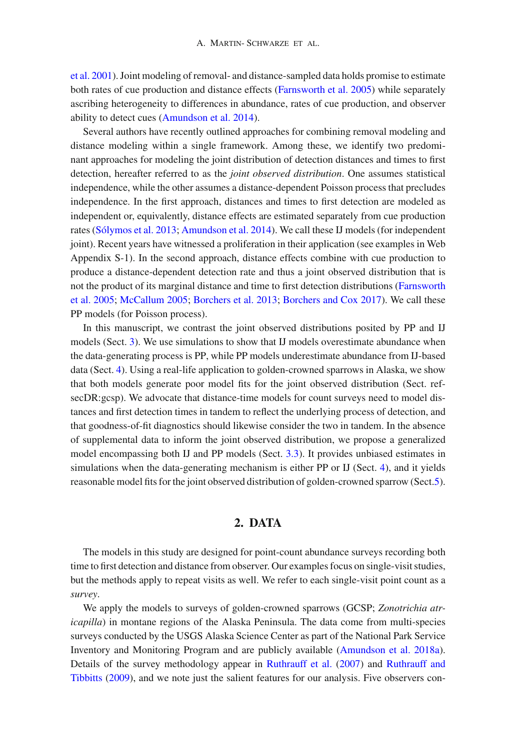et al. [2001\)](#page-15-1). Joint modeling of removal- and distance-sampled data holds promise to estimate both rates of cue production and distance effects [\(Farnsworth et al. 2005\)](#page-15-2) while separately ascribing heterogeneity to differences in abundance, rates of cue production, and observer ability to detect cues [\(Amundson et al. 2014\)](#page-15-3).

Several authors have recently outlined approaches for combining removal modeling and distance modeling within a single framework. Among these, we identify two predominant approaches for modeling the joint distribution of detection distances and times to first detection, hereafter referred to as the *joint observed distribution*. One assumes statistical independence, while the other assumes a distance-dependent Poisson process that precludes independence. In the first approach, distances and times to first detection are modeled as independent or, equivalently, distance effects are estimated separately from cue production rates [\(Sólymos et al. 2013](#page-16-0); [Amundson et al. 2014\)](#page-15-3). We call these IJ models (for independent joint). Recent years have witnessed a proliferation in their application (see examples in Web Appendix S-1). In the second approach, distance effects combine with cue production to produce a distance-dependent detection rate and thus a joint observed distribution that is not t[he](#page-15-2) [product](#page-15-2) [of](#page-15-2) [its](#page-15-2) [marginal](#page-15-2) [distance](#page-15-2) [and](#page-15-2) [time](#page-15-2) [to](#page-15-2) [first](#page-15-2) [detection](#page-15-2) [distributions](#page-15-2) [\(](#page-15-2)Farnsworth et al. [2005;](#page-15-2) [McCallum 2005](#page-16-1); [Borchers et al. 2013](#page-15-4); [Borchers and Cox 2017](#page-15-5)). We call these PP models (for Poisson process).

In this manuscript, we contrast the joint observed distributions posited by PP and IJ models (Sect. [3\)](#page-2-0). We use simulations to show that IJ models overestimate abundance when the data-generating process is PP, while PP models underestimate abundance from IJ-based data (Sect. [4\)](#page-8-0). Using a real-life application to golden-crowned sparrows in Alaska, we show that both models generate poor model fits for the joint observed distribution (Sect. refsecDR:gcsp). We advocate that distance-time models for count surveys need to model distances and first detection times in tandem to reflect the underlying process of detection, and that goodness-of-fit diagnostics should likewise consider the two in tandem. In the absence of supplemental data to inform the joint observed distribution, we propose a generalized model encompassing both IJ and PP models (Sect. [3.3\)](#page-5-0). It provides unbiased estimates in simulations when the data-generating mechanism is either PP or IJ (Sect. [4\)](#page-8-0), and it yields reasonable model fits for the joint observed distribution of golden-crowned sparrow (Sect[.5\)](#page-10-0).

## **2. DATA**

The models in this study are designed for point-count abundance surveys recording both time to first detection and distance from observer. Our examples focus on single-visit studies, but the methods apply to repeat visits as well. We refer to each single-visit point count as a *survey*.

We apply the models to surveys of golden-crowned sparrows (GCSP; *Zonotrichia atricapilla*) in montane regions of the Alaska Peninsula. The data come from multi-species surveys conducted by the USGS Alaska Science Center as part of the National Park Service Inventory and Monitoring Program and are publicly available [\(Amundson et al. 2018a\)](#page-15-6). Details [of](#page-16-3) [the](#page-16-3) [survey](#page-16-3) [methodology](#page-16-3) [appear](#page-16-3) [in](#page-16-3) [Ruthrauff et al.](#page-16-2) [\(2007\)](#page-16-2) and Ruthrauff and Tibbitts [\(2009\)](#page-16-3), and we note just the salient features for our analysis. Five observers con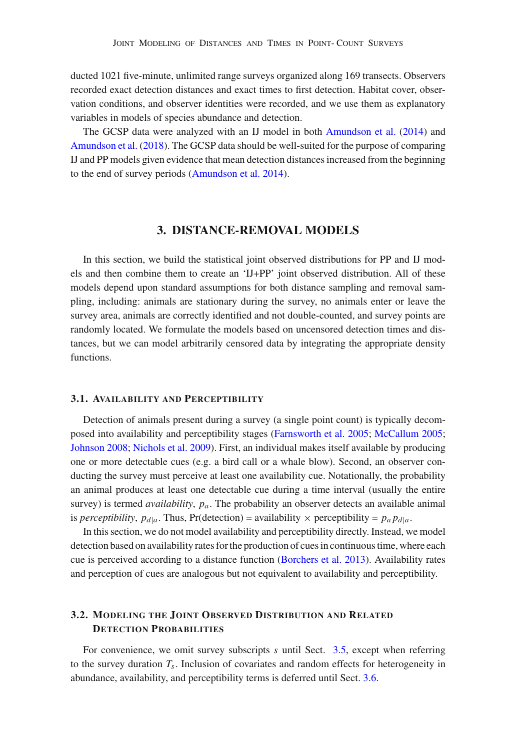ducted 1021 five-minute, unlimited range surveys organized along 169 transects. Observers recorded exact detection distances and exact times to first detection. Habitat cover, observation conditions, and observer identities were recorded, and we use them as explanatory variables in models of species abundance and detection.

The GCSP data were analyzed with an IJ model in both [Amundson et al.](#page-15-3) [\(2014\)](#page-15-3) and [Amundson et al.](#page-15-7) [\(2018](#page-15-7)). The GCSP data should be well-suited for the purpose of comparing IJ and PP models given evidence that mean detection distances increased from the beginning to the end of survey periods [\(Amundson et al. 2014](#page-15-3)).

## **3. DISTANCE-REMOVAL MODELS**

<span id="page-2-0"></span>In this section, we build the statistical joint observed distributions for PP and IJ models and then combine them to create an 'IJ+PP' joint observed distribution. All of these models depend upon standard assumptions for both distance sampling and removal sampling, including: animals are stationary during the survey, no animals enter or leave the survey area, animals are correctly identified and not double-counted, and survey points are randomly located. We formulate the models based on uncensored detection times and distances, but we can model arbitrarily censored data by integrating the appropriate density functions.

#### **3.1. AVAILABILITY AND PERCEPTIBILITY**

Detection of animals present during a survey (a single point count) is typically decomposed into availability and perceptibility stages [\(Farnsworth et al. 2005;](#page-15-2) [McCallum 2005;](#page-16-1) [Johnson 2008;](#page-15-8) [Nichols et al. 2009](#page-16-4)). First, an individual makes itself available by producing one or more detectable cues (e.g. a bird call or a whale blow). Second, an observer conducting the survey must perceive at least one availability cue. Notationally, the probability an animal produces at least one detectable cue during a time interval (usually the entire survey) is termed *availability*, *pa*. The probability an observer detects an available animal is *perceptibility*,  $p_{d|a}$ . Thus, Pr(detection) = availability  $\times$  perceptibility =  $p_a p_{d|a}$ .

In this section, we do not model availability and perceptibility directly. Instead, we model detection based on availability rates for the production of cues in continuous time, where each cue is perceived according to a distance function [\(Borchers et al. 2013\)](#page-15-4). Availability rates and perception of cues are analogous but not equivalent to availability and perceptibility.

## **3.2. MODELING THE JOINT OBSERVED DISTRIBUTION AND RELATED DETECTION PROBABILITIES**

For convenience, we omit survey subscripts *s* until Sect. [3.5,](#page-6-0) except when referring to the survey duration  $T_s$ . Inclusion of covariates and random effects for heterogeneity in abundance, availability, and perceptibility terms is deferred until Sect. [3.6.](#page-7-0)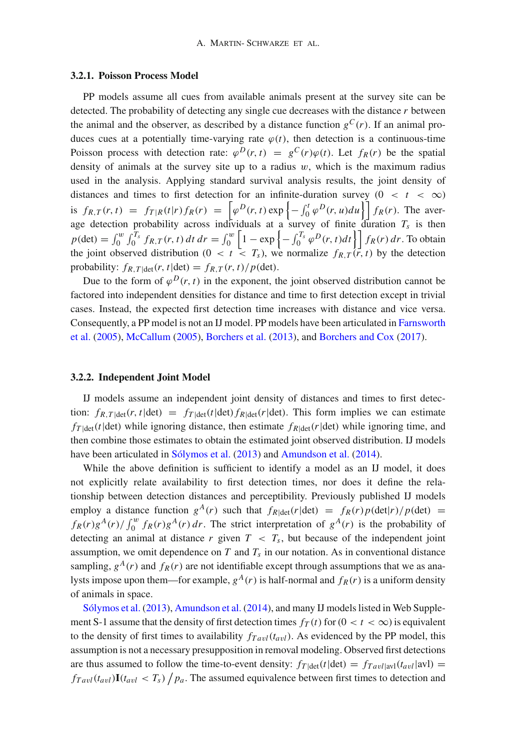#### **3.2.1. Poisson Process Model**

PP models assume all cues from available animals present at the survey site can be detected. The probability of detecting any single cue decreases with the distance *r* between the animal and the observer, as described by a distance function  $g^C(r)$ . If an animal produces cues at a potentially time-varying rate  $\varphi(t)$ , then detection is a continuous-time Poisson process with detection rate:  $\varphi^{D}(r, t) = g^{C}(r)\varphi(t)$ . Let  $f_{R}(r)$  be the spatial density of animals at the survey site up to a radius  $w$ , which is the maximum radius used in the analysis. Applying standard survival analysis results, the joint density of distances and times to first detection for an infinite-duration survey  $(0 < t < \infty)$ is  $f_{R,T}(r,t) = f_{T|R}(t|r) f_R(r) = \left[ \varphi^D(r,t) \exp \left\{-\int_0^t \varphi^D(r,u) du \right\} \right] f_R(r)$ . The average detection probability across individuals at a survey of finite duration *Ts* is then  $p(\text{det}) = \int_0^w \int_0^{T_s} f_{R,T}(r, t) dt dr = \int_0^w \left[1 - \exp\left\{-\int_0^{T_s} \varphi^D(r, t) dt\right\}\right] f_R(r) dr$ . To obtain the joint observed distribution ( $0 < t < T_s$ ), we normalize  $f_{R,T}(\vec{r}, t)$  by the detection probability:  $f_{R,T|\text{det}}(r, t|\text{det}) = f_{R,T}(r, t)/p(\text{det}).$ 

Due to the form of  $\varphi^{D}(r, t)$  in the exponent, the joint observed distribution cannot be factored into independent densities for distance and time to first detection except in trivial cases. Instead, the expected first detection time increases with distance and vice versa. Con[sequently,](#page-15-2) [a](#page-15-2) [PP](#page-15-2) [model](#page-15-2) [is](#page-15-2) [not](#page-15-2) [an](#page-15-2) [IJ](#page-15-2) [model.](#page-15-2) [PP](#page-15-2) [models](#page-15-2) [have](#page-15-2) [been](#page-15-2) [articulated](#page-15-2) [in](#page-15-2) Farnsworth et al. [\(2005\)](#page-15-2), [McCallum](#page-16-1) [\(2005\)](#page-16-1), [Borchers et al.](#page-15-4) [\(2013](#page-15-4)), and [Borchers and Cox](#page-15-5) [\(2017](#page-15-5)).

#### **3.2.2. Independent Joint Model**

IJ models assume an independent joint density of distances and times to first detection:  $f_{R,T|\text{det}}(r, t|\text{det}) = f_{T|\text{det}}(t|\text{det}) f_{R|\text{det}}(r|\text{det})$ . This form implies we can estimate  $f_T$ <sub>|det</sub>( $t$ |det) while ignoring distance, then estimate  $f_{R|det}(r|det)$  while ignoring time, and then combine those estimates to obtain the estimated joint observed distribution. IJ models have been articulated in [Sólymos et al.](#page-16-0) [\(2013](#page-16-0)) and [Amundson et al.](#page-15-3) [\(2014](#page-15-3)).

While the above definition is sufficient to identify a model as an IJ model, it does not explicitly relate availability to first detection times, nor does it define the relationship between detection distances and perceptibility. Previously published IJ models employ a distance function  $g^{A}(r)$  such that  $f_{R|\text{det}}(r|\text{det}) = f_{R}(r)p(\text{det}|r)/p(\text{det}) =$  $f_R(r)g^A(r)/\int_0^w f_R(r)g^A(r) dr$ . The strict interpretation of  $g^A(r)$  is the probability of detecting an animal at distance  $r$  given  $T < T_s$ , but because of the independent joint assumption, we omit dependence on  $T$  and  $T_s$  in our notation. As in conventional distance sampling,  $g^{A}(r)$  and  $f_{R}(r)$  are not identifiable except through assumptions that we as analysts impose upon them—for example,  $g^{A}(r)$  is half-normal and  $f_{R}(r)$  is a uniform density [of](#page-16-0) [animals](#page-16-0) [in](#page-16-0) [spa](#page-16-0)ce.

Sólymos et al. [\(2013](#page-16-0)), [Amundson et al.](#page-15-3) [\(2014\)](#page-15-3), and many IJ models listed in Web Supplement S-1 assume that the density of first detection times  $f_T(t)$  for  $(0 < t < \infty)$  is equivalent to the density of first times to availability  $f_{T \alpha v l}(t_{\alpha v l})$ . As evidenced by the PP model, this assumption is not a necessary presupposition in removal modeling. Observed first detections are thus assumed to follow the time-to-event density:  $f_{T | \text{det}}(t | \text{det}) = f_{T \text{all}}(t_{\text{avl}} | \text{avl}) =$  $f_{Tavl}(t_{avl}) \mathbf{I}(t_{avl} < T_s) / p_a$ . The assumed equivalence between first times to detection and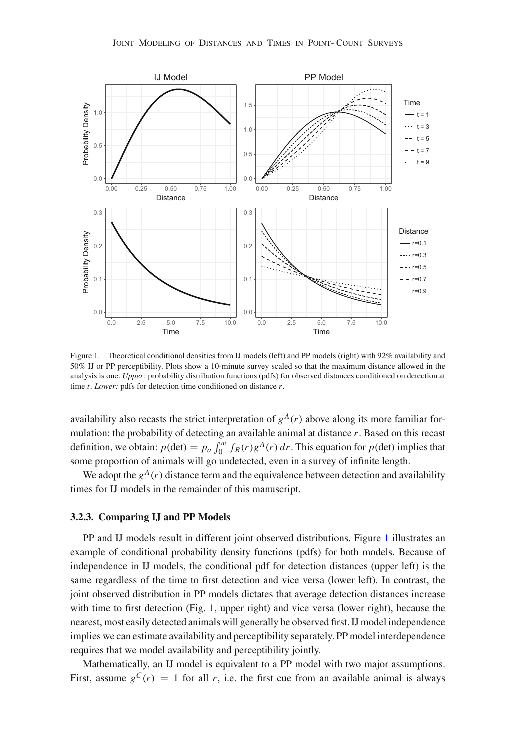

<span id="page-4-0"></span>Figure 1. Theoretical conditional densities from IJ models (left) and PP models (right) with 92% availability and 50% IJ or PP perceptibility. Plots show a 10-minute survey scaled so that the maximum distance allowed in the analysis is one. *Upper:* probability distribution functions (pdfs) for observed distances conditioned on detection at time *t*. *Lower:* pdfs for detection time conditioned on distance *r*.

availability also recasts the strict interpretation of  $g^{A}(r)$  above along its more familiar formulation: the probability of detecting an available animal at distance *r*. Based on this recast definition, we obtain:  $p(\text{det}) = p_a \int_0^w f_R(r) g^A(r) dr$ . This equation for  $p(\text{det})$  implies that some proportion of animals will go undetected, even in a survey of infinite length.

We adopt the  $g^A(r)$  distance term and the equivalence between detection and availability times for IJ models in the remainder of this manuscript.

#### <span id="page-4-1"></span>**3.2.3. Comparing IJ and PP Models**

PP and IJ models result in different joint observed distributions. Figure [1](#page-4-0) illustrates an example of conditional probability density functions (pdfs) for both models. Because of independence in IJ models, the conditional pdf for detection distances (upper left) is the same regardless of the time to first detection and vice versa (lower left). In contrast, the joint observed distribution in PP models dictates that average detection distances increase with time to first detection (Fig. [1,](#page-4-0) upper right) and vice versa (lower right), because the nearest, most easily detected animals will generally be observed first. IJ model independence implies we can estimate availability and perceptibility separately. PP model interdependence requires that we model availability and perceptibility jointly.

Mathematically, an IJ model is equivalent to a PP model with two major assumptions. First, assume  $g^{C}(r) = 1$  for all *r*, i.e. the first cue from an available animal is always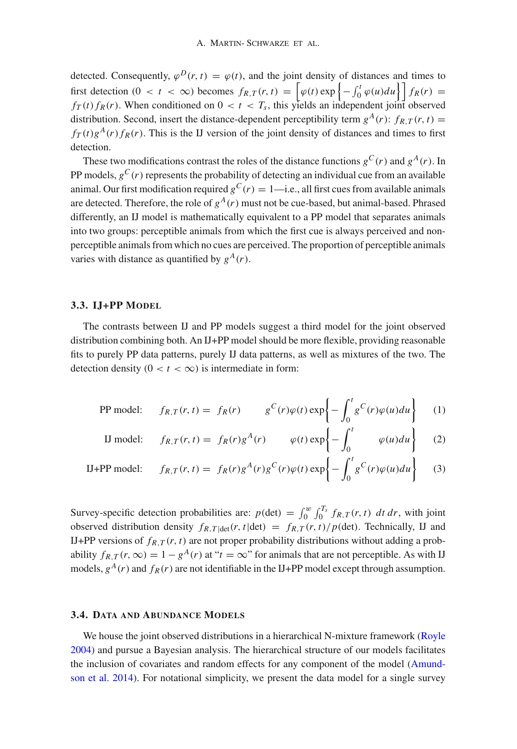detected. Consequently,  $\varphi^{D}(r, t) = \varphi(t)$ , and the joint density of distances and times to first detection  $(0 < t < \infty)$  becomes  $f_{R,T}(r, t) = \left[\varphi(t) \exp\left\{-\int_0^t \varphi(u) du\right\}\right] f_R(r) =$  $f_T(t) f_R(r)$ . When conditioned on  $0 < t < T_s$ , this yields an independent joint observed distribution. Second, insert the distance-dependent perceptibility term  $g^{A}(r)$ :  $f_{R,T}(r, t)$  =  $f_T(t)g^{A}(r) f_R(r)$ . This is the IJ version of the joint density of distances and times to first detection.

These two modifications contrast the roles of the distance functions  $g^{C}(r)$  and  $g^{A}(r)$ . In PP models,  $g^C(r)$  represents the probability of detecting an individual cue from an available animal. Our first modification required  $g^C(r) = 1$ —i.e., all first cues from available animals are detected. Therefore, the role of  $g<sup>A</sup>(r)$  must not be cue-based, but animal-based. Phrased differently, an IJ model is mathematically equivalent to a PP model that separates animals into two groups: perceptible animals from which the first cue is always perceived and nonperceptible animals from which no cues are perceived. The proportion of perceptible animals varies with distance as quantified by  $g<sup>A</sup>(r)$ .

## <span id="page-5-0"></span>**3.3. IJ+PP MODEL**

The contrasts between IJ and PP models suggest a third model for the joint observed distribution combining both. An IJ+PP model should be more flexible, providing reasonable fits to purely PP data patterns, purely IJ data patterns, as well as mixtures of the two. The detection density  $(0 < t < \infty)$  is intermediate in form:

PP model: 
$$
f_{R,T}(r,t) = f_R(r)
$$
  $g^C(r)\varphi(t) \exp\left\{-\int_0^t g^C(r)\varphi(u)du\right\}$  (1)

II model: 
$$
f_{R,T}(r,t) = f_R(r)g^A(r) \qquad \varphi(t) \exp\left\{-\int_0^t \varphi(u)du\right\}
$$
 (2)

$$
\text{IJ+PP model:} \qquad f_{R,T}(r,t) = f_R(r)g^A(r)g^C(r)\varphi(t)\exp\left\{-\int_0^t g^C(r)\varphi(u)du\right\} \tag{3}
$$

Survey-specific detection probabilities are:  $p(\text{det}) = \int_0^w \int_0^{T_s} f_{R,T}(r, t) dt dr$ , with joint observed distribution density  $f_{R,T|\text{det}}(r, t|\text{det}) = f_{R,T}(r, t)/p(\text{det})$ . Technically, IJ and IJ+PP versions of  $f_{R,T}(r, t)$  are not proper probability distributions without adding a probability  $f_{R,T}(r, \infty) = 1 - g^A(r)$  at " $t = \infty$ " for animals that are not perceptible. As with IJ models,  $g^{A}(r)$  and  $f_{R}(r)$  are not identifiable in the IJ+PP model except through assumption.

#### **3.4. DATA AND ABUNDANCE MODELS**

We house the joint observed distributions in a hierarchical N-mixture framework [\(Royle](#page-16-5) [2004\)](#page-16-5) and pursue a Bayesian analysis. The hierarchical structure of our models facilitates the inclu[sion](#page-15-3) [of](#page-15-3) [covariates](#page-15-3) [and](#page-15-3) [random](#page-15-3) [effects](#page-15-3) [for](#page-15-3) [any](#page-15-3) [component](#page-15-3) [of](#page-15-3) [the](#page-15-3) [model](#page-15-3) [\(](#page-15-3)Amundson et al. [2014](#page-15-3)). For notational simplicity, we present the data model for a single survey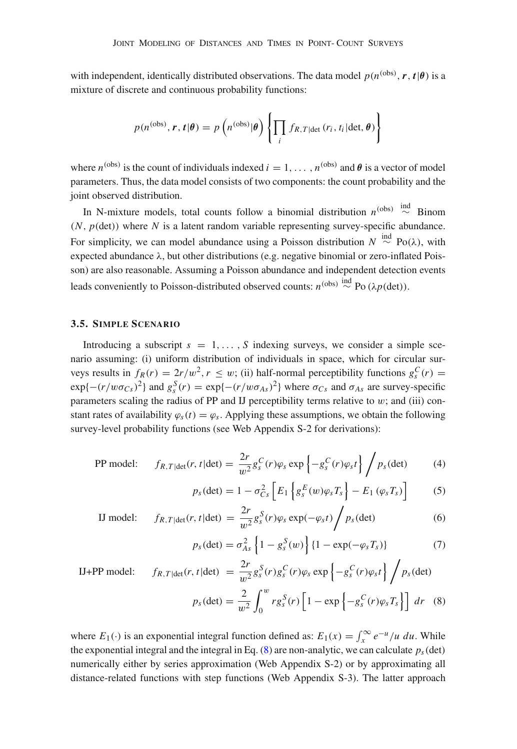with independent, identically distributed observations. The data model  $p(n^{(obs)}, r, t | \theta)$  is a mixture of discrete and continuous probability functions:

$$
p(n^{(\text{obs})}, \mathbf{r}, \mathbf{t} | \boldsymbol{\theta}) = p\left(n^{(\text{obs})} | \boldsymbol{\theta}\right) \left\{\prod_i f_{R, T | \text{det}}\left(r_i, t_i | \text{det}, \boldsymbol{\theta}\right)\right\}
$$

where  $n^{(obs)}$  is the count of individuals indexed  $i = 1, \ldots, n^{(obs)}$  and  $\theta$  is a vector of model parameters. Thus, the data model consists of two components: the count probability and the joint observed distribution.

In N-mixture models, total counts follow a binomial distribution  $n^{(obs)} \stackrel{\text{ind}}{\sim}$  Binom  $(N, p(\text{det}))$  where N is a latent random variable representing survey-specific abundance. For simplicity, we can model abundance using a Poisson distribution  $N \stackrel{\text{ind}}{\sim} Po(\lambda)$ , with expected abundance λ, but other distributions (e.g. negative binomial or zero-inflated Poisson) are also reasonable. Assuming a Poisson abundance and independent detection events leads conveniently to Poisson-distributed observed counts:  $n^{(\text{obs})} \stackrel{\text{ind}}{\sim} Po(\lambda p(\text{det}))$ .

## <span id="page-6-0"></span>**3.5. SIMPLE SCENARIO**

Introducing a subscript  $s = 1, \ldots, S$  indexing surveys, we consider a simple scenario assuming: (i) uniform distribution of individuals in space, which for circular surveys results in  $f_R(r) = 2r/w^2$ ,  $r \leq w$ ; (ii) half-normal perceptibility functions  $g_s^C(r)$  $\exp\{-(r/w\sigma_{Cs})^2\}$  and  $g_s^S(r) = \exp\{-(r/w\sigma_{As})^2\}$  where  $\sigma_{Cs}$  and  $\sigma_{As}$  are survey-specific parameters scaling the radius of PP and IJ perceptibility terms relative to  $w$ ; and (iii) constant rates of availability  $\varphi_s(t) = \varphi_s$ . Applying these assumptions, we obtain the following survey-level probability functions (see Web Appendix S-2 for derivations):

PP model: 
$$
f_{R,T|\text{det}}(r, t|\text{det}) = \frac{2r}{w^2} g_s^C(r) \varphi_s \exp\left\{-g_s^C(r) \varphi_s t\right\} / p_s(\text{det})
$$
 (4)

$$
p_s(\det) = 1 - \sigma_{Cs}^2 \left[ E_1 \left\{ g_s^E(w) \varphi_s T_s \right\} - E_1 \left( \varphi_s T_s \right) \right]
$$
 (5)

II model: 
$$
f_{R,T|\text{det}}(r, t|\text{det}) = \frac{2r}{w^2} g_s^S(r) \varphi_s \exp(-\varphi_s t) / p_s(\text{det})
$$
 (6)

<span id="page-6-1"></span>
$$
p_s(\det) = \sigma_{As}^2 \left\{ 1 - g_s^S(w) \right\} \{ 1 - \exp(-\varphi_s T_s) \}
$$
 (7)

$$
\text{IJ+PP model:} \qquad f_{R,T|\text{det}}(r,t|\text{det}) = \frac{2r}{w^2} g_s^S(r) g_s^C(r) \varphi_s \exp\left\{-g_s^C(r) \varphi_s t\right\} / p_s(\text{det})
$$
\n
$$
p_s(\text{det}) = \frac{2}{w^2} \int_0^w r g_s^S(r) \left[1 - \exp\left\{-g_s^C(r) \varphi_s T_s\right\}\right] dr \quad (8)
$$

where  $E_1(\cdot)$  is an exponential integral function defined as:  $E_1(x) = \int_x^{\infty} e^{-u} / u \ du$ . While the exponential integral and the integral in Eq.  $(8)$  are non-analytic, we can calculate  $p_s$  (det) numerically either by series approximation (Web Appendix S-2) or by approximating all distance-related functions with step functions (Web Appendix S-3). The latter approach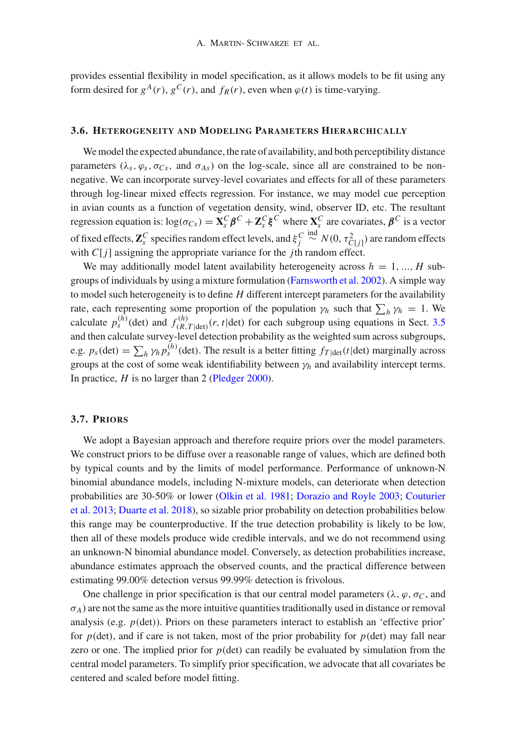provides essential flexibility in model specification, as it allows models to be fit using any form desired for  $g^{A}(r)$ ,  $g^{C}(r)$ , and  $f_{R}(r)$ , even when  $\varphi(t)$  is time-varying.

#### <span id="page-7-0"></span>**3.6. HETEROGENEITY AND MODELING PARAMETERS HIERARCHICALLY**

We model the expected abundance, the rate of availability, and both perceptibility distance parameters ( $\lambda_s$ ,  $\varphi_s$ ,  $\sigma_{Cs}$ , and  $\sigma_{As}$ ) on the log-scale, since all are constrained to be nonnegative. We can incorporate survey-level covariates and effects for all of these parameters through log-linear mixed effects regression. For instance, we may model cue perception in avian counts as a function of vegetation density, wind, observer ID, etc. The resultant regression equation is:  $log(\sigma_{Cs}) = \mathbf{X}_s^C \boldsymbol{\beta}^C + \mathbf{Z}_s^C \boldsymbol{\xi}^C$  where  $\mathbf{X}_s^C$  are covariates,  $\boldsymbol{\beta}^C$  is a vector of fixed effects,  $\mathbf{Z}_s^C$  specifies random effect levels, and  $\xi_j^C$  $\stackrel{\text{ind}}{\sim} N(0, \tau_{C[j]}^2)$  are random effects with *C*[*j*] assigning the appropriate variance for the *j*th random effect.

We may additionally model latent availability heterogeneity across  $h = 1, ..., H$  subgroups of individuals by using a mixture formulation [\(Farnsworth et al. 2002](#page-15-0)). A simple way to model such heterogeneity is to define *H* different intercept parameters for the availability rate, each representing some proportion of the population  $\gamma_h$  such that  $\sum_h \gamma_h = 1$ . We calculate  $p_s^{(h)}$  (det) and  $f_{(R)}^{(h)}$  $\frac{N(n)}{(R,T|\text{det})}(r, t|\text{det})$  for each subgroup using equations in Sect. [3.5](#page-6-0) and then calculate survey-level detection probability as the weighted sum across subgroups, e.g.  $p_s(\text{det}) = \sum_h \gamma_h p_s^{(h)}(\text{det})$ . The result is a better fitting  $f_{T|\text{det}}(t|\text{det})$  marginally across groups at the cost of some weak identifiability between  $\gamma_h$  and availability intercept terms. In practice, *H* is no larger than 2 [\(Pledger 2000\)](#page-16-6).

## **3.7. PRIORS**

We adopt a Bayesian approach and therefore require priors over the model parameters. We construct priors to be diffuse over a reasonable range of values, which are defined both by typical counts and by the limits of model performance. Performance of unknown-N binomial abundance models, including N-mixture models, can deteriorate when detection prob[abilities](#page-15-10) [are](#page-15-10) [30-50%](#page-15-10) [or](#page-15-10) [lower](#page-15-10) [\(Olkin et al. 1981](#page-16-7)[;](#page-15-10) [Dorazio and Royle 2003;](#page-15-9) Couturier et al. [2013;](#page-15-10) [Duarte et al. 2018](#page-15-11)), so sizable prior probability on detection probabilities below this range may be counterproductive. If the true detection probability is likely to be low, then all of these models produce wide credible intervals, and we do not recommend using an unknown-N binomial abundance model. Conversely, as detection probabilities increase, abundance estimates approach the observed counts, and the practical difference between estimating 99.00% detection versus 99.99% detection is frivolous.

One challenge in prior specification is that our central model parameters ( $\lambda$ ,  $\varphi$ ,  $\sigma_C$ , and  $\sigma_A$ ) are not the same as the more intuitive quantities traditionally used in distance or removal analysis (e.g.  $p$ (det)). Priors on these parameters interact to establish an 'effective prior' for  $p(\text{det})$ , and if care is not taken, most of the prior probability for  $p(\text{det})$  may fall near zero or one. The implied prior for *p*(det) can readily be evaluated by simulation from the central model parameters. To simplify prior specification, we advocate that all covariates be centered and scaled before model fitting.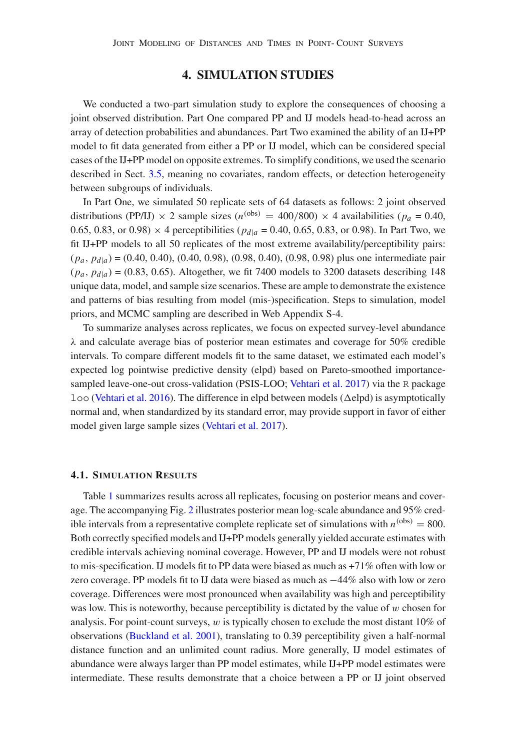## **4. SIMULATION STUDIES**

<span id="page-8-0"></span>We conducted a two-part simulation study to explore the consequences of choosing a joint observed distribution. Part One compared PP and IJ models head-to-head across an array of detection probabilities and abundances. Part Two examined the ability of an IJ+PP model to fit data generated from either a PP or IJ model, which can be considered special cases of the IJ+PP model on opposite extremes. To simplify conditions, we used the scenario described in Sect. [3.5,](#page-6-0) meaning no covariates, random effects, or detection heterogeneity between subgroups of individuals.

In Part One, we simulated 50 replicate sets of 64 datasets as follows: 2 joint observed distributions (PP/IJ)  $\times$  2 sample sizes (*n*<sup>(obs)</sup> = 400/800)  $\times$  4 availabilities (*p<sub>a</sub>* = 0.40, 0.65, 0.83, or 0.98)  $\times$  4 perceptibilities ( $p_{d|a}$  = 0.40, 0.65, 0.83, or 0.98). In Part Two, we fit IJ+PP models to all 50 replicates of the most extreme availability/perceptibility pairs: (*pa*, *pd*|*a*) = (0.40, 0.40), (0.40, 0.98), (0.98, 0.40), (0.98, 0.98) plus one intermediate pair  $(p_a, p_{d|a}) = (0.83, 0.65)$ . Altogether, we fit 7400 models to 3200 datasets describing 148 unique data, model, and sample size scenarios. These are ample to demonstrate the existence and patterns of bias resulting from model (mis-)specification. Steps to simulation, model priors, and MCMC sampling are described in Web Appendix S-4.

To summarize analyses across replicates, we focus on expected survey-level abundance  $\lambda$  and calculate average bias of posterior mean estimates and coverage for 50% credible intervals. To compare different models fit to the same dataset, we estimated each model's expected log pointwise predictive density (elpd) based on Pareto-smoothed importance-sampled leave-one-out cross-validation (PSIS-LOO; [Vehtari et al. 2017](#page-16-8)) via the R package  $1$ oo [\(Vehtari et al. 2016](#page-16-9)). The difference in elpd between models ( $\Delta$ elpd) is asymptotically normal and, when standardized by its standard error, may provide support in favor of either model given large sample sizes [\(Vehtari et al. 2017\)](#page-16-8).

#### <span id="page-8-1"></span>**4.1. SIMULATION RESULTS**

Table [1](#page-9-0) summarizes results across all replicates, focusing on posterior means and coverage. The accompanying Fig. [2](#page-10-1) illustrates posterior mean log-scale abundance and 95% credible intervals from a representative complete replicate set of simulations with  $n^{(obs)} = 800$ . Both correctly specified models and IJ+PP models generally yielded accurate estimates with credible intervals achieving nominal coverage. However, PP and IJ models were not robust to mis-specification. IJ models fit to PP data were biased as much as +71% often with low or zero coverage. PP models fit to IJ data were biased as much as −44% also with low or zero coverage. Differences were most pronounced when availability was high and perceptibility was low. This is noteworthy, because perceptibility is dictated by the value of w chosen for analysis. For point-count surveys,  $w$  is typically chosen to exclude the most distant  $10\%$  of observations [\(Buckland et al. 2001\)](#page-15-1), translating to 0.39 perceptibility given a half-normal distance function and an unlimited count radius. More generally, IJ model estimates of abundance were always larger than PP model estimates, while IJ+PP model estimates were intermediate. These results demonstrate that a choice between a PP or IJ joint observed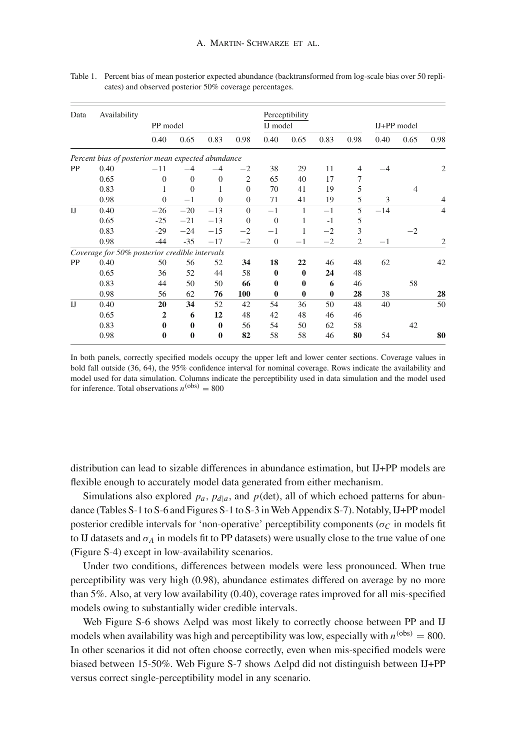| Data           | Availability                                      |              |          |              |                |              | Perceptibility |          |                |             |                |      |
|----------------|---------------------------------------------------|--------------|----------|--------------|----------------|--------------|----------------|----------|----------------|-------------|----------------|------|
|                |                                                   | PP model     |          |              |                | IJ model     |                |          |                | IJ+PP model |                |      |
|                |                                                   | 0.40         | 0.65     | 0.83         | 0.98           | 0.40         | 0.65           | 0.83     | 0.98           | 0.40        | 0.65           | 0.98 |
|                | Percent bias of posterior mean expected abundance |              |          |              |                |              |                |          |                |             |                |      |
| <b>PP</b>      | 0.40                                              | $-11$        | $-4$     | $-4$         | $^{-2}$        | 38           | 29             | 11       | $\overline{4}$ | $-4$        |                | 2    |
|                | 0.65                                              | $\Omega$     | $\theta$ | $\theta$     | $\overline{2}$ | 65           | 40             | 17       | 7              |             |                |      |
|                | 0.83                                              | 1            | $\theta$ |              | $\Omega$       | 70           | 41             | 19       | 5              |             | $\overline{4}$ |      |
|                | 0.98                                              | $\Omega$     | $-1$     | $\Omega$     | $\Omega$       | 71           | 41             | 19       | 5              | 3           |                | 4    |
| $_{\text{IJ}}$ | 0.40                                              | $-26$        | $-20$    | $-13$        | $\Omega$       | $-1$         | 1              | $-1$     | 5              | $-14$       |                | 4    |
|                | 0.65                                              | $-25$        | $-21$    | $-13$        | $\overline{0}$ | $\theta$     | 1              | $-1$     | 5              |             |                |      |
|                | 0.83                                              | $-29$        | $-24$    | $-15$        | $-2$           | $-1$         | 1              | $-2$     | 3              |             | $-2$           |      |
|                | 0.98                                              | $-44$        | $-35$    | $-17$        | $-2$           | $\theta$     | $^{-1}$        | $-2$     | $\overline{2}$ | $^{-1}$     |                | 2    |
|                | Coverage for 50% posterior credible intervals     |              |          |              |                |              |                |          |                |             |                |      |
| PP             | 0.40                                              | 50           | 56       | 52           | 34             | 18           | 22             | 46       | 48             | 62          |                | 42   |
|                | 0.65                                              | 36           | 52       | 44           | 58             | $\mathbf 0$  | $\mathbf 0$    | 24       | 48             |             |                |      |
|                | 0.83                                              | 44           | 50       | 50           | 66             | $\mathbf{0}$ | $\bf{0}$       | 6        | 46             |             | 58             |      |
|                | 0.98                                              | 56           | 62       | 76           | 100            | $\bf{0}$     | $\bf{0}$       | $\bf{0}$ | 28             | 38          |                | 28   |
| $_{\text{IJ}}$ | 0.40                                              | 20           | 34       | 52           | 42             | 54           | 36             | 50       | 48             | 40          |                | 50   |
|                | 0.65                                              | $\mathbf{2}$ | 6        | 12           | 48             | 42           | 48             | 46       | 46             |             |                |      |
|                | 0.83                                              | $\bf{0}$     | $\bf{0}$ | $\bf{0}$     | 56             | 54           | 50             | 62       | 58             |             | 42             |      |
|                | 0.98                                              | $\bf{0}$     | $\bf{0}$ | $\mathbf{0}$ | 82             | 58           | 58             | 46       | 80             | 54          |                | 80   |

<span id="page-9-0"></span>Table 1. Percent bias of mean posterior expected abundance (backtransformed from log-scale bias over 50 replicates) and observed posterior 50% coverage percentages.

In both panels, correctly specified models occupy the upper left and lower center sections. Coverage values in bold fall outside (36, 64), the 95% confidence interval for nominal coverage. Rows indicate the availability and model used for data simulation. Columns indicate the perceptibility used in data simulation and the model used for inference. Total observations  $n^{(obs)} = 800$ 

distribution can lead to sizable differences in abundance estimation, but IJ+PP models are flexible enough to accurately model data generated from either mechanism.

Simulations also explored  $p_a$ ,  $p_{d|a}$ , and  $p$ (det), all of which echoed patterns for abundance (Tables S-1 to S-6 and Figures S-1 to S-3 inWeb Appendix S-7). Notably, IJ+PP model posterior credible intervals for 'non-operative' perceptibility components ( $\sigma_C$  in models fit to IJ datasets and  $\sigma_A$  in models fit to PP datasets) were usually close to the true value of one (Figure S-4) except in low-availability scenarios.

Under two conditions, differences between models were less pronounced. When true perceptibility was very high (0.98), abundance estimates differed on average by no more than 5%. Also, at very low availability (0.40), coverage rates improved for all mis-specified models owing to substantially wider credible intervals.

Web Figure S-6 shows  $\Delta$ elpd was most likely to correctly choose between PP and IJ models when availability was high and perceptibility was low, especially with  $n^{(obs)} = 800$ . In other scenarios it did not often choose correctly, even when mis-specified models were biased between 15-50%. Web Figure S-7 shows  $\Delta$ elpd did not distinguish between IJ+PP versus correct single-perceptibility model in any scenario.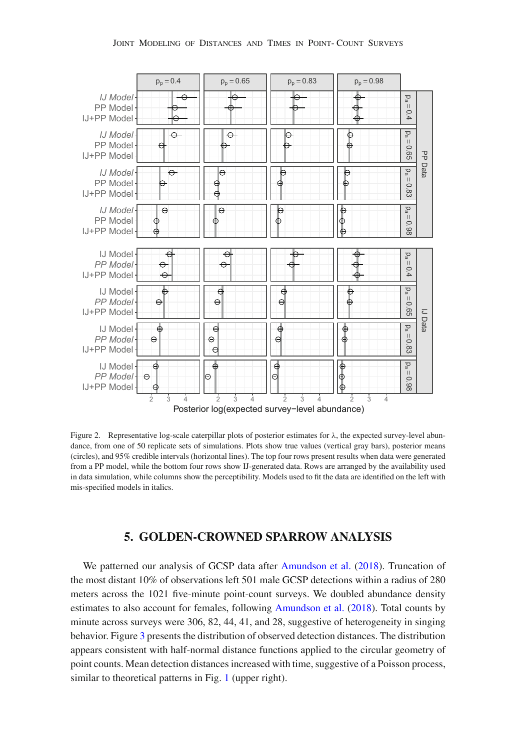

<span id="page-10-1"></span>Figure 2. Representative log-scale caterpillar plots of posterior estimates for  $\lambda$ , the expected survey-level abundance, from one of 50 replicate sets of simulations. Plots show true values (vertical gray bars), posterior means (circles), and 95% credible intervals (horizontal lines). The top four rows present results when data were generated from a PP model, while the bottom four rows show IJ-generated data. Rows are arranged by the availability used in data simulation, while columns show the perceptibility. Models used to fit the data are identified on the left with mis-specified models in italics.

## **5. GOLDEN-CROWNED SPARROW ANALYSIS**

<span id="page-10-0"></span>We patterned our analysis of GCSP data after [Amundson et al.](#page-15-7) [\(2018\)](#page-15-7). Truncation of the most distant 10% of observations left 501 male GCSP detections within a radius of 280 meters across the 1021 five-minute point-count surveys. We doubled abundance density estimates to also account for females, following [Amundson et al.](#page-15-7) [\(2018\)](#page-15-7). Total counts by minute across surveys were 306, 82, 44, 41, and 28, suggestive of heterogeneity in singing behavior. Figure [3](#page-11-0) presents the distribution of observed detection distances. The distribution appears consistent with half-normal distance functions applied to the circular geometry of point counts. Mean detection distances increased with time, suggestive of a Poisson process, similar to theoretical patterns in Fig. [1](#page-4-0) (upper right).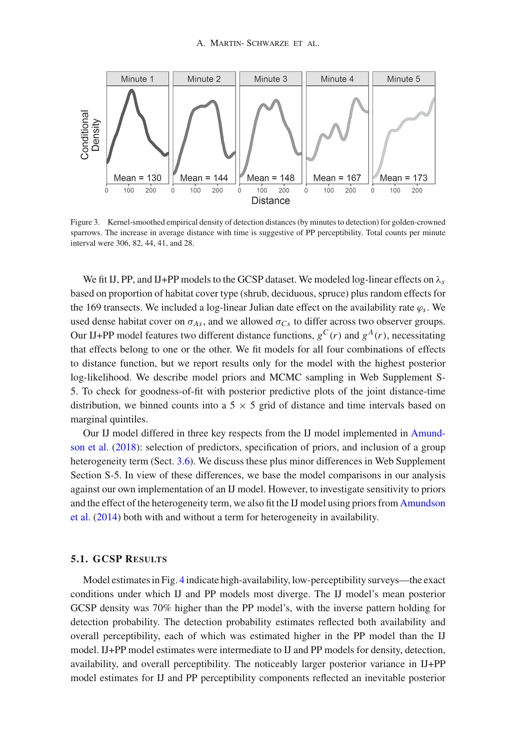

<span id="page-11-0"></span>Figure 3. Kernel-smoothed empirical density of detection distances (by minutes to detection) for golden-crowned sparrows. The increase in average distance with time is suggestive of PP perceptibility. Total counts per minute interval were 306, 82, 44, 41, and 28.

We fit IJ, PP, and IJ+PP models to the GCSP dataset. We modeled log-linear effects on λ*s* based on proportion of habitat cover type (shrub, deciduous, spruce) plus random effects for the 169 transects. We included a log-linear Julian date effect on the availability rate  $\varphi_s$ . We used dense habitat cover on  $\sigma_{As}$ , and we allowed  $\sigma_{Cs}$  to differ across two observer groups. Our IJ+PP model features two different distance functions,  $g^C(r)$  and  $g^A(r)$ , necessitating that effects belong to one or the other. We fit models for all four combinations of effects to distance function, but we report results only for the model with the highest posterior log-likelihood. We describe model priors and MCMC sampling in Web Supplement S-5. To check for goodness-of-fit with posterior predictive plots of the joint distance-time distribution, we binned counts into a  $5 \times 5$  grid of distance and time intervals based on marginal quintiles.

Our I[J](#page-15-7) [model](#page-15-7) [differed](#page-15-7) [in](#page-15-7) [three](#page-15-7) [key](#page-15-7) [respects](#page-15-7) [from](#page-15-7) [the](#page-15-7) [IJ](#page-15-7) [model](#page-15-7) [implemented](#page-15-7) [in](#page-15-7) Amundson et al. [\(2018\)](#page-15-7): selection of predictors, specification of priors, and inclusion of a group heterogeneity term (Sect. [3.6\)](#page-7-0). We discuss these plus minor differences in Web Supplement Section S-5. In view of these differences, we base the model comparisons in our analysis against our own implementation of an IJ model. However, to investigate sensitivity to priors and t[he](#page-15-3) [effect](#page-15-3) [of](#page-15-3) [the](#page-15-3) [heterogeneity](#page-15-3) [term,](#page-15-3) [we](#page-15-3) [also](#page-15-3) [fit](#page-15-3) [the](#page-15-3) [IJ](#page-15-3) [model](#page-15-3) [using](#page-15-3) [priors](#page-15-3) [from](#page-15-3) Amundson et al. [\(2014\)](#page-15-3) both with and without a term for heterogeneity in availability.

#### <span id="page-11-1"></span>**5.1. GCSP RESULTS**

Model estimates in Fig. [4](#page-12-0) indicate high-availability, low-perceptibility surveys—the exact conditions under which IJ and PP models most diverge. The IJ model's mean posterior GCSP density was 70% higher than the PP model's, with the inverse pattern holding for detection probability. The detection probability estimates reflected both availability and overall perceptibility, each of which was estimated higher in the PP model than the IJ model. IJ+PP model estimates were intermediate to IJ and PP models for density, detection, availability, and overall perceptibility. The noticeably larger posterior variance in IJ+PP model estimates for IJ and PP perceptibility components reflected an inevitable posterior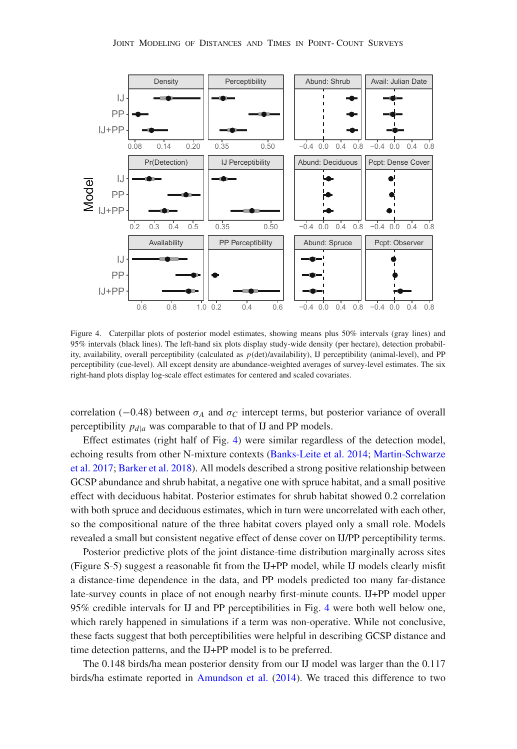

<span id="page-12-0"></span>Figure 4. Caterpillar plots of posterior model estimates, showing means plus 50% intervals (gray lines) and 95% intervals (black lines). The left-hand six plots display study-wide density (per hectare), detection probability, availability, overall perceptibility (calculated as *p*(det)/availability), IJ perceptibility (animal-level), and PP perceptibility (cue-level). All except density are abundance-weighted averages of survey-level estimates. The six right-hand plots display log-scale effect estimates for centered and scaled covariates.

correlation ( $-0.48$ ) between  $\sigma_A$  and  $\sigma_C$  intercept terms, but posterior variance of overall perceptibility  $p_{d|a}$  was comparable to that of IJ and PP models.

Effect estimates (right half of Fig. [4\)](#page-12-0) were similar regardless of the detection model, echo[ing](#page-15-13) [results](#page-15-13) [from](#page-15-13) [other](#page-15-13) [N-mixture](#page-15-13) [contexts](#page-15-13) [\(Banks-Leite et al. 2014](#page-15-12)[;](#page-15-13) Martin-Schwarze et al. [2017;](#page-15-13) [Barker et al. 2018](#page-15-14)). All models described a strong positive relationship between GCSP abundance and shrub habitat, a negative one with spruce habitat, and a small positive effect with deciduous habitat. Posterior estimates for shrub habitat showed 0.2 correlation with both spruce and deciduous estimates, which in turn were uncorrelated with each other, so the compositional nature of the three habitat covers played only a small role. Models revealed a small but consistent negative effect of dense cover on IJ/PP perceptibility terms.

Posterior predictive plots of the joint distance-time distribution marginally across sites (Figure S-5) suggest a reasonable fit from the IJ+PP model, while IJ models clearly misfit a distance-time dependence in the data, and PP models predicted too many far-distance late-survey counts in place of not enough nearby first-minute counts. IJ+PP model upper 95% credible intervals for IJ and PP perceptibilities in Fig. [4](#page-12-0) were both well below one, which rarely happened in simulations if a term was non-operative. While not conclusive, these facts suggest that both perceptibilities were helpful in describing GCSP distance and time detection patterns, and the IJ+PP model is to be preferred.

The 0.148 birds/ha mean posterior density from our IJ model was larger than the 0.117 birds/ha estimate reported in [Amundson et al.](#page-15-3) [\(2014\)](#page-15-3). We traced this difference to two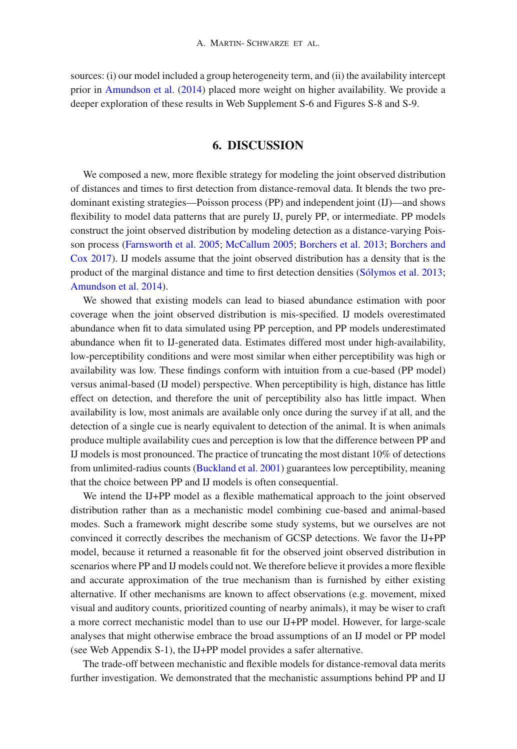sources: (i) our model included a group heterogeneity term, and (ii) the availability intercept prior in [Amundson et al.](#page-15-3) [\(2014\)](#page-15-3) placed more weight on higher availability. We provide a deeper exploration of these results in Web Supplement S-6 and Figures S-8 and S-9.

# **6. DISCUSSION**

We composed a new, more flexible strategy for modeling the joint observed distribution of distances and times to first detection from distance-removal data. It blends the two predominant existing strategies—Poisson process (PP) and independent joint (IJ)—and shows flexibility to model data patterns that are purely IJ, purely PP, or intermediate. PP models construct the joint observed distribution by modeling detection as a distance-varying Poisson [process](#page-15-5) [\(Farnsworth et al. 2005](#page-15-2)[;](#page-15-5) [McCallum 2005;](#page-16-1) [Borchers et al. 2013;](#page-15-4) Borchers and Cox [2017](#page-15-5)). IJ models assume that the joint observed distribution has a density that is the product of the marginal distance and time to first detection densities [\(Sólymos et al. 2013;](#page-16-0) [Amundson et al. 2014\)](#page-15-3).

We showed that existing models can lead to biased abundance estimation with poor coverage when the joint observed distribution is mis-specified. IJ models overestimated abundance when fit to data simulated using PP perception, and PP models underestimated abundance when fit to IJ-generated data. Estimates differed most under high-availability, low-perceptibility conditions and were most similar when either perceptibility was high or availability was low. These findings conform with intuition from a cue-based (PP model) versus animal-based (IJ model) perspective. When perceptibility is high, distance has little effect on detection, and therefore the unit of perceptibility also has little impact. When availability is low, most animals are available only once during the survey if at all, and the detection of a single cue is nearly equivalent to detection of the animal. It is when animals produce multiple availability cues and perception is low that the difference between PP and IJ models is most pronounced. The practice of truncating the most distant 10% of detections from unlimited-radius counts [\(Buckland et al. 2001\)](#page-15-1) guarantees low perceptibility, meaning that the choice between PP and IJ models is often consequential.

We intend the IJ+PP model as a flexible mathematical approach to the joint observed distribution rather than as a mechanistic model combining cue-based and animal-based modes. Such a framework might describe some study systems, but we ourselves are not convinced it correctly describes the mechanism of GCSP detections. We favor the IJ+PP model, because it returned a reasonable fit for the observed joint observed distribution in scenarios where PP and IJ models could not. We therefore believe it provides a more flexible and accurate approximation of the true mechanism than is furnished by either existing alternative. If other mechanisms are known to affect observations (e.g. movement, mixed visual and auditory counts, prioritized counting of nearby animals), it may be wiser to craft a more correct mechanistic model than to use our IJ+PP model. However, for large-scale analyses that might otherwise embrace the broad assumptions of an IJ model or PP model (see Web Appendix S-1), the IJ+PP model provides a safer alternative.

The trade-off between mechanistic and flexible models for distance-removal data merits further investigation. We demonstrated that the mechanistic assumptions behind PP and IJ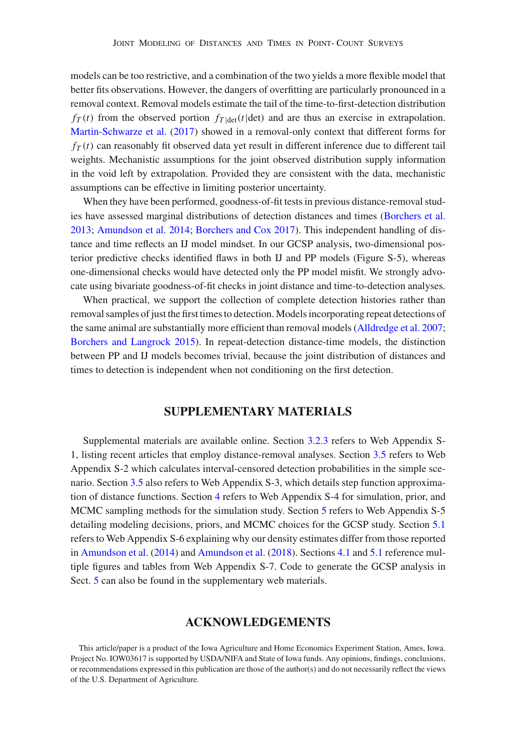models can be too restrictive, and a combination of the two yields a more flexible model that better fits observations. However, the dangers of overfitting are particularly pronounced in a removal context. Removal models estimate the tail of the time-to-first-detection distribution  $f_T(t)$  from the observed portion  $f_{T|\text{det}}(t|\text{det})$  and are thus an exercise in extrapolation. [Martin-Schwarze et al.](#page-15-13) [\(2017\)](#page-15-13) showed in a removal-only context that different forms for  $f_T(t)$  can reasonably fit observed data yet result in different inference due to different tail weights. Mechanistic assumptions for the joint observed distribution supply information in the void left by extrapolation. Provided they are consistent with the data, mechanistic assumptions can be effective in limiting posterior uncertainty.

When they have been performed, goodness-of-fit tests in previous distance-removal studies have assessed marginal distributions of detection distances and times [\(Borchers et al.](#page-15-4) [2013;](#page-15-4) [Amundson et al. 2014](#page-15-3); [Borchers and Cox 2017](#page-15-5)). This independent handling of distance and time reflects an IJ model mindset. In our GCSP analysis, two-dimensional posterior predictive checks identified flaws in both IJ and PP models (Figure S-5), whereas one-dimensional checks would have detected only the PP model misfit. We strongly advocate using bivariate goodness-of-fit checks in joint distance and time-to-detection analyses.

When practical, we support the collection of complete detection histories rather than removal samples of just the first times to detection. Models incorporating repeat detections of the same animal are substantially more efficient than removal models [\(Alldredge et al. 2007;](#page-15-15) [Borchers and Langrock 2015\)](#page-15-16). In repeat-detection distance-time models, the distinction between PP and IJ models becomes trivial, because the joint distribution of distances and times to detection is independent when not conditioning on the first detection.

## **SUPPLEMENTARY MATERIALS**

Supplemental materials are available online. Section [3.2.3](#page-4-1) refers to Web Appendix S-1, listing recent articles that employ distance-removal analyses. Section [3.5](#page-6-0) refers to Web Appendix S-2 which calculates interval-censored detection probabilities in the simple scenario. Section [3.5](#page-6-0) also refers to Web Appendix S-3, which details step function approximation of distance functions. Section [4](#page-8-0) refers to Web Appendix S-4 for simulation, prior, and MCMC sampling methods for the simulation study. Section [5](#page-10-0) refers to Web Appendix S-5 detailing modeling decisions, priors, and MCMC choices for the GCSP study. Section [5.1](#page-11-1) refers to Web Appendix S-6 explaining why our density estimates differ from those reported in [Amundson et al.](#page-15-3) [\(2014\)](#page-15-3) and [Amundson et al.](#page-15-7) [\(2018](#page-15-7)). Sections [4.1](#page-8-1) and [5.1](#page-11-1) reference multiple figures and tables from Web Appendix S-7. Code to generate the GCSP analysis in Sect. [5](#page-10-0) can also be found in the supplementary web materials.

## **ACKNOWLEDGEMENTS**

This article/paper is a product of the Iowa Agriculture and Home Economics Experiment Station, Ames, Iowa. Project No. IOW03617 is supported by USDA/NIFA and State of Iowa funds. Any opinions, findings, conclusions, or recommendations expressed in this publication are those of the author(s) and do not necessarily reflect the views of the U.S. Department of Agriculture.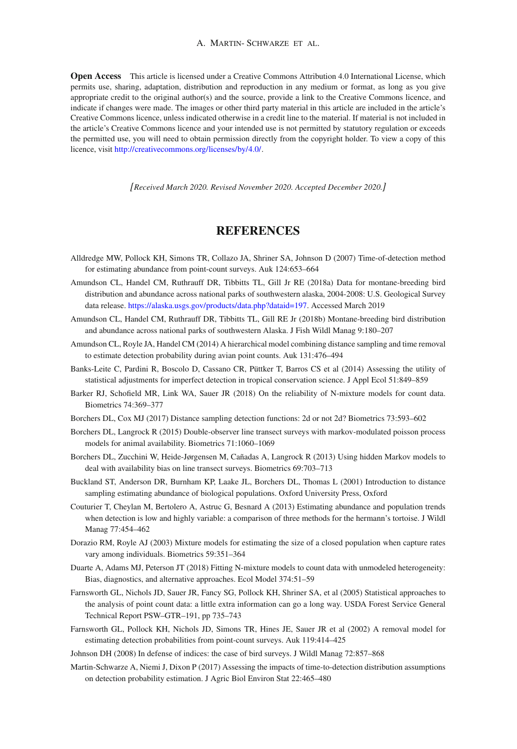**Open Access** This article is licensed under a Creative Commons Attribution 4.0 International License, which permits use, sharing, adaptation, distribution and reproduction in any medium or format, as long as you give appropriate credit to the original author(s) and the source, provide a link to the Creative Commons licence, and indicate if changes were made. The images or other third party material in this article are included in the article's Creative Commons licence, unless indicated otherwise in a credit line to the material. If material is not included in the article's Creative Commons licence and your intended use is not permitted by statutory regulation or exceeds the permitted use, you will need to obtain permission directly from the copyright holder. To view a copy of this licence, visit [http://creativecommons.org/licenses/by/4.0/.](http://creativecommons.org/licenses/by/4.0/)

*[Received March 2020. Revised November 2020. Accepted December 2020.]*

# **REFERENCES**

- <span id="page-15-15"></span>Alldredge MW, Pollock KH, Simons TR, Collazo JA, Shriner SA, Johnson D (2007) Time-of-detection method for estimating abundance from point-count surveys. Auk 124:653–664
- <span id="page-15-6"></span>Amundson CL, Handel CM, Ruthrauff DR, Tibbitts TL, Gill Jr RE (2018a) Data for montane-breeding bird distribution and abundance across national parks of southwestern alaska, 2004-2008: U.S. Geological Survey data release. [https://alaska.usgs.gov/products/data.php?dataid=197.](https://alaska.usgs.gov/products/data.php?dataid=197) Accessed March 2019
- <span id="page-15-7"></span>Amundson CL, Handel CM, Ruthrauff DR, Tibbitts TL, Gill RE Jr (2018b) Montane-breeding bird distribution and abundance across national parks of southwestern Alaska. J Fish Wildl Manag 9:180–207
- <span id="page-15-3"></span>Amundson CL, Royle JA, Handel CM (2014) A hierarchical model combining distance sampling and time removal to estimate detection probability during avian point counts. Auk 131:476–494
- <span id="page-15-12"></span>Banks-Leite C, Pardini R, Boscolo D, Cassano CR, Püttker T, Barros CS et al (2014) Assessing the utility of statistical adjustments for imperfect detection in tropical conservation science. J Appl Ecol 51:849–859
- <span id="page-15-14"></span>Barker RJ, Schofield MR, Link WA, Sauer JR (2018) On the reliability of N-mixture models for count data. Biometrics 74:369–377
- <span id="page-15-5"></span>Borchers DL, Cox MJ (2017) Distance sampling detection functions: 2d or not 2d? Biometrics 73:593–602
- <span id="page-15-16"></span>Borchers DL, Langrock R (2015) Double-observer line transect surveys with markov-modulated poisson process models for animal availability. Biometrics 71:1060–1069
- <span id="page-15-4"></span>Borchers DL, Zucchini W, Heide-Jørgensen M, Cañadas A, Langrock R (2013) Using hidden Markov models to deal with availability bias on line transect surveys. Biometrics 69:703–713
- <span id="page-15-1"></span>Buckland ST, Anderson DR, Burnham KP, Laake JL, Borchers DL, Thomas L (2001) Introduction to distance sampling estimating abundance of biological populations. Oxford University Press, Oxford
- <span id="page-15-10"></span>Couturier T, Cheylan M, Bertolero A, Astruc G, Besnard A (2013) Estimating abundance and population trends when detection is low and highly variable: a comparison of three methods for the hermann's tortoise. J Wildl Manag 77:454–462
- <span id="page-15-9"></span>Dorazio RM, Royle AJ (2003) Mixture models for estimating the size of a closed population when capture rates vary among individuals. Biometrics 59:351–364
- <span id="page-15-11"></span>Duarte A, Adams MJ, Peterson JT (2018) Fitting N-mixture models to count data with unmodeled heterogeneity: Bias, diagnostics, and alternative approaches. Ecol Model 374:51–59
- <span id="page-15-2"></span>Farnsworth GL, Nichols JD, Sauer JR, Fancy SG, Pollock KH, Shriner SA, et al (2005) Statistical approaches to the analysis of point count data: a little extra information can go a long way. USDA Forest Service General Technical Report PSW–GTR–191, pp 735–743
- <span id="page-15-0"></span>Farnsworth GL, Pollock KH, Nichols JD, Simons TR, Hines JE, Sauer JR et al (2002) A removal model for estimating detection probabilities from point-count surveys. Auk 119:414–425
- <span id="page-15-8"></span>Johnson DH (2008) In defense of indices: the case of bird surveys. J Wildl Manag 72:857–868
- <span id="page-15-13"></span>Martin-Schwarze A, Niemi J, Dixon P (2017) Assessing the impacts of time-to-detection distribution assumptions on detection probability estimation. J Agric Biol Environ Stat 22:465–480